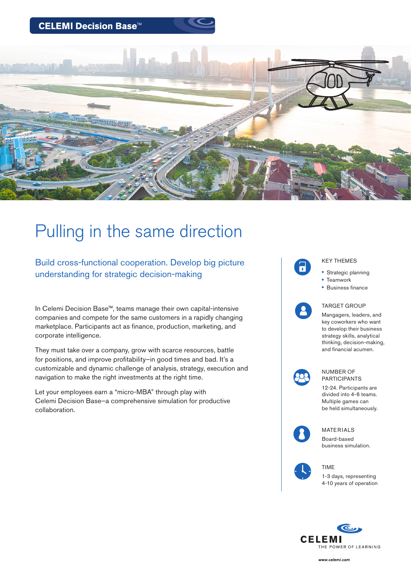CELEMI Decision Base™



# Pulling in the same direction

Build cross-functional cooperation. Develop big picture understanding for strategic decision-making

In Celemi Decision Base™, teams manage their own capital-intensive companies and compete for the same customers in a rapidly changing marketplace. Participants act as finance, production, marketing, and corporate intelligence.

They must take over a company, grow with scarce resources, battle for positions, and improve profitability–in good times and bad. It's a customizable and dynamic challenge of analysis, strategy, execution and navigation to make the right investments at the right time.

Let your employees earn a "micro-MBA" through play with Celemi Decision Base–a comprehensive simulation for productive collaboration.



## KEY THEMES

- Strategic planning
- Teamwork
- Business finance



#### TARGET GROUP

Mangagers, leaders, and key coworkers who want to develop their business strategy skills, analytical thinking, decision-making, and financial acumen.



#### NUMBER OF PARTICIPANTS

12-24. Participants are divided into 4-6 teams. Multiple games can be held simultaneously.



MATERIALS Board-based business simulation.

TIME

1-3 days, representing 4-10 years of operation



www.celemi.com